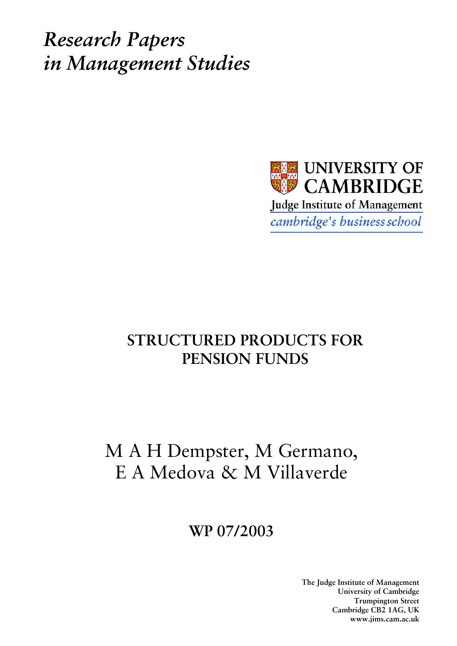*Research Papers in Management Studies*



## **STRUCTURED PRODUCTS FOR PENSION FUNDS**

# M A H Dempster, M Germano, E A Medova & M Villaverde

**WP 07/2003** 

**The Judge Institute of Management University of Cambridge Trumpington Street Cambridge CB2 1AG, UK www.jims.cam.ac.uk**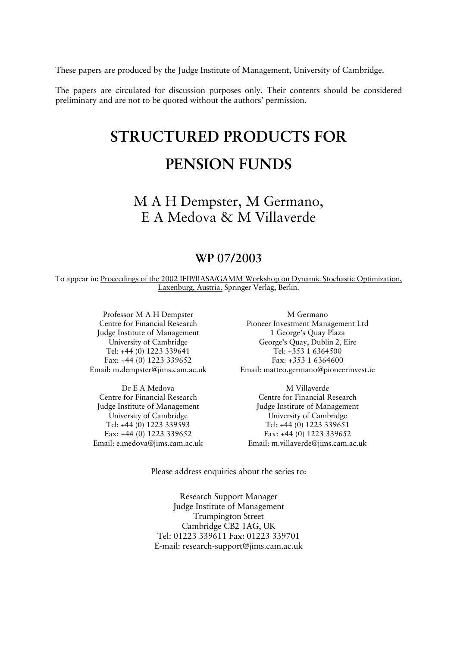These papers are produced by the Judge Institute of Management, University of Cambridge.

The papers are circulated for discussion purposes only. Their contents should be considered preliminary and are not to be quoted without the authors' permission.

## **STRUCTURED PRODUCTS FOR PENSION FUNDS**

### M A H Dempster, M Germano, E A Medova & M Villaverde

### **WP 07/2003**

To appear in: Proceedings of the 2002 IFIP/IIASA/GAMM Workshop on Dynamic Stochastic Optimization, Laxenburg, Austria. Springer Verlag, Berlin.

> Professor M A H Dempster M Germano Judge Institute of Management 1 George's Quay Plaza

Centre for Financial Research Pioneer Investment Management Ltd University of Cambridge George's Quay, Dublin 2, Eire Tel: +44 (0) 1223 339641 Tel: +353 1 6364500 Fax: +44 (0) 1223 339652 Fax: +353 1 6364600 Email: m.dempster@jims.cam.ac.uk Email: matteo.germano@pioneerinvest.ie

Dr E A Medova M Villaverde Centre for Financial Research Centre for Financial Research Judge Institute of Management Judge Institute of Management University of Cambridge University of Cambridge Tel: +44 (0) 1223 339593 Tel: +44 (0) 1223 339651 Fax: +44 (0) 1223 339652 Fax: +44 (0) 1223 339652 Email: e.medova@jims.cam.ac.uk Email: m.villaverde@jims.cam.ac.uk

Please address enquiries about the series to:

Research Support Manager Judge Institute of Management Trumpington Street Cambridge CB2 1AG, UK Tel: 01223 339611 Fax: 01223 339701 E-mail: research-support@jims.cam.ac.uk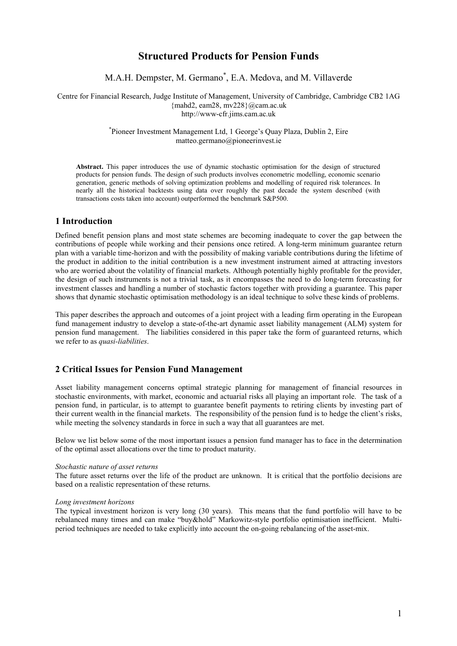### **Structured Products for Pension Funds**

M.A.H. Dempster, M. Germano\* , E.A. Medova, and M. Villaverde

Centre for Financial Research, Judge Institute of Management, University of Cambridge, Cambridge CB2 1AG {mahd2, eam28, mv228}@cam.ac.uk http://www-cfr.jims.cam.ac.uk

> \* Pioneer Investment Management Ltd, 1 George's Quay Plaza, Dublin 2, Eire matteo.germano@pioneerinvest.ie

**Abstract.** This paper introduces the use of dynamic stochastic optimisation for the design of structured products for pension funds. The design of such products involves econometric modelling, economic scenario generation, generic methods of solving optimization problems and modelling of required risk tolerances. In nearly all the historical backtests using data over roughly the past decade the system described (with transactions costs taken into account) outperformed the benchmark S&P500.

#### **1 Introduction**

Defined benefit pension plans and most state schemes are becoming inadequate to cover the gap between the contributions of people while working and their pensions once retired. A long-term minimum guarantee return plan with a variable time-horizon and with the possibility of making variable contributions during the lifetime of the product in addition to the initial contribution is a new investment instrument aimed at attracting investors who are worried about the volatility of financial markets. Although potentially highly profitable for the provider, the design of such instruments is not a trivial task, as it encompasses the need to do long-term forecasting for investment classes and handling a number of stochastic factors together with providing a guarantee. This paper shows that dynamic stochastic optimisation methodology is an ideal technique to solve these kinds of problems.

This paper describes the approach and outcomes of a joint project with a leading firm operating in the European fund management industry to develop a state-of-the-art dynamic asset liability management (ALM) system for pension fund management. The liabilities considered in this paper take the form of guaranteed returns, which we refer to as *quasi-liabilities*.

#### **2 Critical Issues for Pension Fund Management**

Asset liability management concerns optimal strategic planning for management of financial resources in stochastic environments, with market, economic and actuarial risks all playing an important role. The task of a pension fund, in particular, is to attempt to guarantee benefit payments to retiring clients by investing part of their current wealth in the financial markets. The responsibility of the pension fund is to hedge the client's risks, while meeting the solvency standards in force in such a way that all guarantees are met.

Below we list below some of the most important issues a pension fund manager has to face in the determination of the optimal asset allocations over the time to product maturity.

#### *Stochastic nature of asset returns*

The future asset returns over the life of the product are unknown. It is critical that the portfolio decisions are based on a realistic representation of these returns.

#### *Long investment horizons*

The typical investment horizon is very long (30 years). This means that the fund portfolio will have to be rebalanced many times and can make "buy&hold" Markowitz-style portfolio optimisation inefficient. Multiperiod techniques are needed to take explicitly into account the on-going rebalancing of the asset-mix.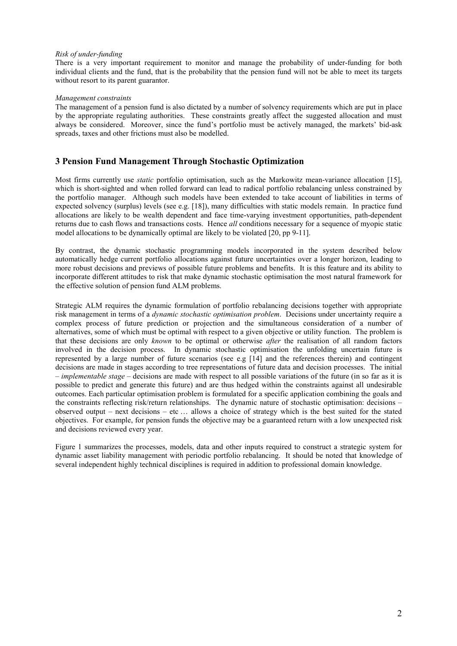#### *Risk of under-funding*

There is a very important requirement to monitor and manage the probability of under-funding for both individual clients and the fund, that is the probability that the pension fund will not be able to meet its targets without resort to its parent guarantor.

#### *Management constraints*

The management of a pension fund is also dictated by a number of solvency requirements which are put in place by the appropriate regulating authorities. These constraints greatly affect the suggested allocation and must always be considered. Moreover, since the fund's portfolio must be actively managed, the markets' bid-ask spreads, taxes and other frictions must also be modelled.

#### **3 Pension Fund Management Through Stochastic Optimization**

Most firms currently use *static* portfolio optimisation, such as the Markowitz mean-variance allocation [15], which is short-sighted and when rolled forward can lead to radical portfolio rebalancing unless constrained by the portfolio manager. Although such models have been extended to take account of liabilities in terms of expected solvency (surplus) levels (see e.g. [18]), many difficulties with static models remain. In practice fund allocations are likely to be wealth dependent and face time-varying investment opportunities, path-dependent returns due to cash flows and transactions costs. Hence *all* conditions necessary for a sequence of myopic static model allocations to be dynamically optimal are likely to be violated [20, pp 9-11].

By contrast, the dynamic stochastic programming models incorporated in the system described below automatically hedge current portfolio allocations against future uncertainties over a longer horizon, leading to more robust decisions and previews of possible future problems and benefits. It is this feature and its ability to incorporate different attitudes to risk that make dynamic stochastic optimisation the most natural framework for the effective solution of pension fund ALM problems.

Strategic ALM requires the dynamic formulation of portfolio rebalancing decisions together with appropriate risk management in terms of a *dynamic stochastic optimisation problem*. Decisions under uncertainty require a complex process of future prediction or projection and the simultaneous consideration of a number of alternatives, some of which must be optimal with respect to a given objective or utility function. The problem is that these decisions are only *known* to be optimal or otherwise *after* the realisation of all random factors involved in the decision process. In dynamic stochastic optimisation the unfolding uncertain future is represented by a large number of future scenarios (see e.g [14] and the references therein) and contingent decisions are made in stages according to tree representations of future data and decision processes. The initial – *implementable stage* – decisions are made with respect to all possible variations of the future (in so far as it is possible to predict and generate this future) and are thus hedged within the constraints against all undesirable outcomes. Each particular optimisation problem is formulated for a specific application combining the goals and the constraints reflecting risk/return relationships. The dynamic nature of stochastic optimisation: decisions – observed output – next decisions – etc … allows a choice of strategy which is the best suited for the stated objectives. For example, for pension funds the objective may be a guaranteed return with a low unexpected risk and decisions reviewed every year.

Figure 1 summarizes the processes, models, data and other inputs required to construct a strategic system for dynamic asset liability management with periodic portfolio rebalancing. It should be noted that knowledge of several independent highly technical disciplines is required in addition to professional domain knowledge.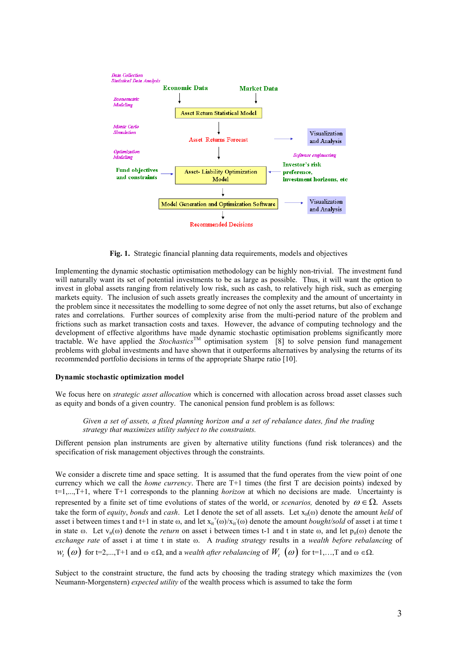

**Fig. 1.** Strategic financial planning data requirements, models and objectives

Implementing the dynamic stochastic optimisation methodology can be highly non-trivial. The investment fund will naturally want its set of potential investments to be as large as possible. Thus, it will want the option to invest in global assets ranging from relatively low risk, such as cash, to relatively high risk, such as emerging markets equity. The inclusion of such assets greatly increases the complexity and the amount of uncertainty in the problem since it necessitates the modelling to some degree of not only the asset returns, but also of exchange rates and correlations. Further sources of complexity arise from the multi-period nature of the problem and frictions such as market transaction costs and taxes. However, the advance of computing technology and the development of effective algorithms have made dynamic stochastic optimisation problems significantly more tractable. We have applied the *Stochastics*<sup>TM</sup> optimisation system [8] to solve pension fund management problems with global investments and have shown that it outperforms alternatives by analysing the returns of its recommended portfolio decisions in terms of the appropriate Sharpe ratio [10].

#### **Dynamic stochastic optimization model**

We focus here on *strategic asset allocation* which is concerned with allocation across broad asset classes such as equity and bonds of a given country. The canonical pension fund problem is as follows:

*Given a set of assets, a fixed planning horizon and a set of rebalance dates, find the trading strategy that maximizes utility subject to the constraints.*

Different pension plan instruments are given by alternative utility functions (fund risk tolerances) and the specification of risk management objectives through the constraints.

We consider a discrete time and space setting. It is assumed that the fund operates from the view point of one currency which we call the *home currency*. There are T+1 times (the first T are decision points) indexed by t=1,...,T+1, where T+1 corresponds to the planning *horizon* at which no decisions are made. Uncertainty is represented by a finite set of time evolutions of states of the world, or *scenarios*, denoted by  $\omega \in \Omega$ . Assets take the form of *equity*, *bonds* and *cash*. Let I denote the set of all assets. Let  $x_{it}(\omega)$  denote the amount *held* of asset i between times t and t+1 in state  $\omega$ , and let  $x_{it}^+(\omega)/x_{it}(\omega)$  denote the amount *bought/sold* of asset i at time t in state  $\omega$ . Let  $v_{ii}(\omega)$  denote the *return* on asset i between times t-1 and t in state  $\omega$ , and let  $p_{ii}(\omega)$  denote the *exchange rate* of asset i at time t in state  $\omega$ . A *trading strategy* results in a *wealth before rebalancing* of  $w_t\left(\omega\right)$  for t=2,...,T+1 and  $\omega \in \Omega$ , and a *wealth after rebalancing* of  $W_t\left(\omega\right)$  for t=1,...,T and  $\omega \in \Omega$ .

Subject to the constraint structure, the fund acts by choosing the trading strategy which maximizes the (von Neumann-Morgenstern) *expected utility* of the wealth process which is assumed to take the form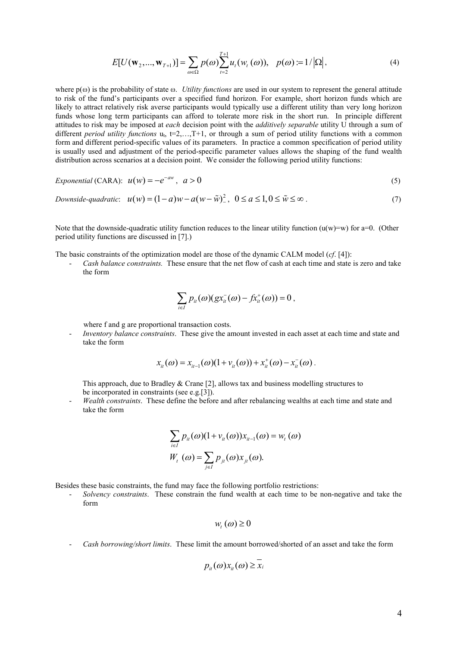$$
E[U(\mathbf{w}_2, ..., \mathbf{w}_{T+1})] = \sum_{\omega \in \Omega} p(\omega) \sum_{t=2}^{T+1} u_t(w_t(\omega)), \quad p(\omega) := 1/|\Omega|,
$$
 (4)

where  $p(\omega)$  is the probability of state  $\omega$ . *Utility functions* are used in our system to represent the general attitude to risk of the fund's participants over a specified fund horizon. For example, short horizon funds which are likely to attract relatively risk averse participants would typically use a different utility than very long horizon funds whose long term participants can afford to tolerate more risk in the short run. In principle different attitudes to risk may be imposed at *each* decision point with the *additively separable* utility U through a sum of different *period utility functions*  $u_1$ ,  $t=2,...,T+1$ , or through a sum of period utility functions with a common form and different period-specific values of its parameters. In practice a common specification of period utility is usually used and adjustment of the period-specific parameter values allows the shaping of the fund wealth distribution across scenarios at a decision point. We consider the following period utility functions:

$$
Exponential (CARA): \ u(w) = -e^{-aw}, \ a > 0 \tag{5}
$$

$$
Downside-quadratic: \quad u(w) = (1-a)w - a(w - \tilde{w})^2, \quad 0 \le a \le 1, 0 \le \tilde{w} \le \infty \tag{7}
$$

Note that the downside-quadratic utility function reduces to the linear utility function  $(u(w)=w)$  for a=0. (Other period utility functions are discussed in [7].)

The basic constraints of the optimization model are those of the dynamic CALM model (*cf*. [4]):

- *Cash balance constraints.* These ensure that the net flow of cash at each time and state is zero and take the form

$$
\sum_{i\in I} p_{ii}(\omega)(gx_{ii}^-(\omega)-fx_{ii}^+(\omega))=0,
$$

where f and g are proportional transaction costs.

*Inventory balance constraints*. These give the amount invested in each asset at each time and state and take the form

$$
x_{it}(\omega) = x_{it-1}(\omega)(1 + v_{it}(\omega)) + x_{it}^{+}(\omega) - x_{it}^{-}(\omega).
$$

This approach, due to Bradley  $&$  Crane [2], allows tax and business modelling structures to be incorporated in constraints (see e.g.[3]).

- *Wealth constraints*. These define the before and after rebalancing wealths at each time and state and take the form

$$
\sum_{i \in I} p_{ii}(\omega)(1 + v_{ii}(\omega))x_{ii-1}(\omega) = w_{i}(\omega)
$$
  

$$
W_{i}(\omega) = \sum_{j \in I} p_{ji}(\omega)x_{ji}(\omega).
$$

Besides these basic constraints, the fund may face the following portfolio restrictions:

- *Solvency constraints*. These constrain the fund wealth at each time to be non-negative and take the form

$$
w_{t}\left( \omega\right) \geq0
$$

- *Cash borrowing/short limits*. These limit the amount borrowed/shorted of an asset and take the form

$$
p_{it}(\omega)x_{it}(\omega)\geq \overline{x_i}
$$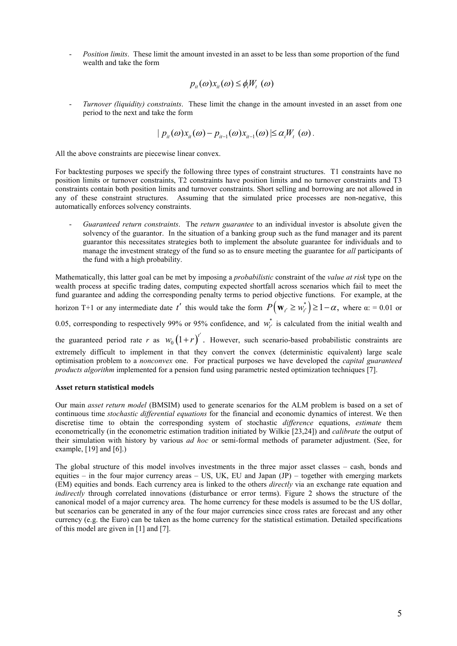*Position limits*. These limit the amount invested in an asset to be less than some proportion of the fund wealth and take the form

$$
p_{it}(\omega)x_{it}(\omega) \leq \phi_i W_t(\omega)
$$

*Turnover (liquidity) constraints*. These limit the change in the amount invested in an asset from one period to the next and take the form

$$
| p_{i}(a) x_{i}(a) - p_{i-1}(a) x_{i-1}(a) | \leq \alpha_{i} W_{i}(a).
$$

All the above constraints are piecewise linear convex.

For backtesting purposes we specify the following three types of constraint structures. T1 constraints have no position limits or turnover constraints, T2 constraints have position limits and no turnover constraints and T3 constraints contain both position limits and turnover constraints. Short selling and borrowing are not allowed in any of these constraint structures. Assuming that the simulated price processes are non-negative, this automatically enforces solvency constraints.

- *Guaranteed return constraints*. The *return guarantee* to an individual investor is absolute given the solvency of the guarantor. In the situation of a banking group such as the fund manager and its parent guarantor this necessitates strategies both to implement the absolute guarantee for individuals and to manage the investment strategy of the fund so as to ensure meeting the guarantee for *all* participants of the fund with a high probability.

Mathematically, this latter goal can be met by imposing a *probabilistic* constraint of the *value at risk* type on the wealth process at specific trading dates, computing expected shortfall across scenarios which fail to meet the fund guarantee and adding the corresponding penalty terms to period objective functions. For example, at the

horizon T+1 or any intermediate date t' this would take the form  $P(\mathbf{w}_{t'} \geq w_{t'}^*) \geq 1 - \alpha$ , where  $\alpha = 0.01$  or

0.05, corresponding to respectively 99% or 95% confidence, and  $w_t^*$  is calculated from the initial wealth and

the guaranteed period rate *r* as  $w_0 (1+r)^{t'}$ . However, such scenario-based probabilistic constraints are extremely difficult to implement in that they convert the convex (deterministic equivalent) large scale optimisation problem to a *nonconvex* one. For practical purposes we have developed the *capital guaranteed products algorithm* implemented for a pension fund using parametric nested optimization techniques [7].

#### **Asset return statistical models**

Our main *asset return model* (BMSIM) used to generate scenarios for the ALM problem is based on a set of continuous time *stochastic differential equations* for the financial and economic dynamics of interest. We then discretise time to obtain the corresponding system of stochastic *difference* equations, *estimate* them econometrically (in the econometric estimation tradition initiated by Wilkie [23,24]) and *calibrate* the output of their simulation with history by various *ad hoc* or semi-formal methods of parameter adjustment. (See, for example,  $[19]$  and  $[6]$ .)

The global structure of this model involves investments in the three major asset classes – cash, bonds and equities – in the four major currency areas – US, UK, EU and Japan  $(JP)$  – together with emerging markets (EM) equities and bonds. Each currency area is linked to the others *directly* via an exchange rate equation and *indirectly* through correlated innovations (disturbance or error terms). Figure 2 shows the structure of the canonical model of a major currency area. The home currency for these models is assumed to be the US dollar, but scenarios can be generated in any of the four major currencies since cross rates are forecast and any other currency (e.g. the Euro) can be taken as the home currency for the statistical estimation. Detailed specifications of this model are given in [1] and [7].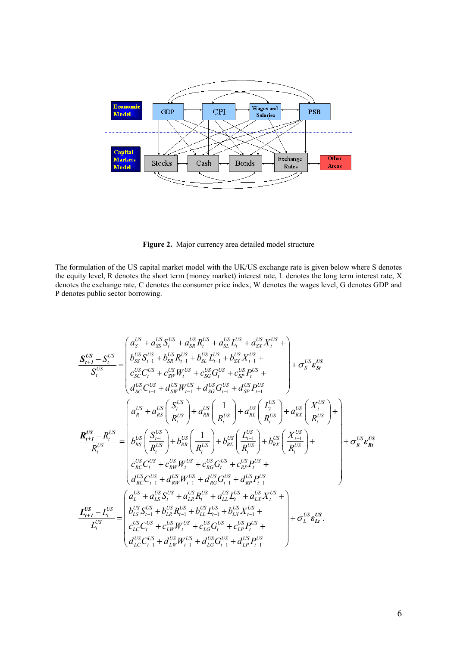

Figure 2. Major currency area detailed model structure

The formulation of the US capital market model with the UK/US exchange rate is given below where S denotes the equity level, R denotes the short term (money market) interest rate, L denotes the long term interest rate, X denotes the exchange rate, C denotes the consumer price index, W denotes the wages level, G denotes GDP and P denotes public sector borrowing.

$$
\frac{\mathbf{S}_{t+1}^{US} - S_t^{US}}{S_t^{US}} = \begin{pmatrix} a_s^{US} + a_{ss}^{US} S_t^{US} + a_{ss}^{US} R_t^{US} + a_{ss}^{US} L_t^{US} + a_{ss}^{US} X_t^{US} + \\ b_{ss}^{US} S_{t-1}^{US} + b_{ss}^{US} R_{t-1}^{US} + b_{ss}^{US} L_{t-1}^{US} + b_{ss}^{US} X_{t-1}^{US} + \\ c_{sc}^{US} C_t^{US} + c_{sw}^{US} W_t^{US} + c_{sc}^{US} G_t^{US} + c_{sp}^{US} P_t^{US} + \\ d_{sc}^{US} C_{t-1}^{US} + d_{sw}^{US} W_{t-1}^{US} + d_{sc}^{US} G_{t-1}^{US} + d_{sp}^{US} P_t^{US} \end{pmatrix} + \sigma_s^{US} \epsilon_{st}^{US} + \\ \frac{\mathbf{R}_{t+1}^{US} - R_t^{US}}{R_t^{US}} = \begin{pmatrix} a_s^{US} + a_{ss}^{US} \left( \frac{S_t^{US}}{R_t^{US}} \right) + a_{ss}^{US} \left( \frac{1}{R_t^{US}} \right) + a_{ss}^{US} \left( \frac{L_t^{US}}{R_t^{US}} \right) + a_{ss}^{US} \left( \frac{X_t^{US}}{R_t^{US}} \right) + \\ b_{ss}^{US} \left( \frac{S_t^{US}}{R_t^{US}} \right) + b_{ss}^{US} \left( \frac{1}{R_t^{US}} \right) + b_{ss}^{US} \left( \frac{L_{t-1}^{US}}{R_t^{US}} \right) + b_{ss}^{US} \left( \frac{X_t^{US}}{R_t^{US}} \right) + \\ c_{sc}^{US} C_t^{US} + c_{sw}^{US} W_t^{US} + c_{sc}^{US} G_t^{US} + c_{sp}^{US} P_t^{US} + \\ d_{sc}^{US} C_{t-1}^{US} + d_{sw}^{US} W_{t-1}^{US} + d_{sc}^{US} G_{t-1}^{US} + d_{sp}^{US} P_{t-1}^{US} + \\ d_{s}^{US} S_{t-1}^{US} + b_{s}^{US} R_t^{US} + a_{s}^{US} R_t^{US} + a_{s}^{US} X_{t-1}^{US} + \\ \epsilon_{t+1}^{US} - L_t^{
$$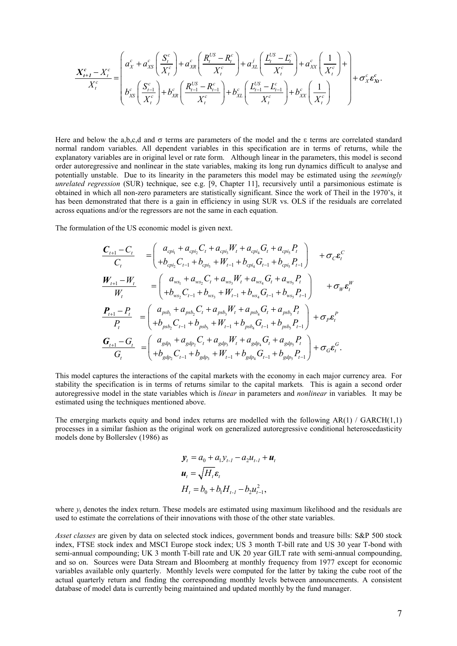$$
\frac{X_{t+1}^{c} - X_{t}^{c}}{X_{t}^{c}} = \left(\begin{array}{c} a_{x}^{c} + a_{x}^{c} \left( \frac{S_{t}^{c}}{X_{t}^{c}} \right) + a_{xR}^{c} \left( \frac{R_{t}^{US} - R_{t}^{c}}{X_{t}^{c}} \right) + a_{xR}^{j} \left( \frac{L_{t}^{US} - L_{t}^{c}}{X_{t}^{c}} \right) + a_{xx}^{c} \left( \frac{1}{X_{t}^{c}} \right) + \\ b_{xR}^{c} \left( \frac{S_{t-1}^{c}}{X_{t}^{c}} \right) + b_{xR}^{c} \left( \frac{R_{t-1}^{US} - R_{t-1}^{c}}{X_{t}^{c}} \right) + b_{xR}^{c} \left( \frac{L_{t-1}^{US} - L_{t-1}^{c}}{X_{t}^{c}} \right) + b_{xx}^{c} \left( \frac{1}{X_{t}^{c}} \right) \end{array}\right) + \sigma_{x}^{c} \mathbf{\varepsilon}_{x}^{c}.
$$

Here and below the a,b,c,d and  $\sigma$  terms are parameters of the model and the  $\varepsilon$  terms are correlated standard normal random variables. All dependent variables in this specification are in terms of returns, while the explanatory variables are in original level or rate form. Although linear in the parameters, this model is second order autoregressive and nonlinear in the state variables, making its long run dynamics difficult to analyse and potentially unstable. Due to its linearity in the parameters this model may be estimated using the *seemingly unrelated regression* (SUR) technique, see e.g. [9, Chapter 11], recursively until a parsimonious estimate is obtained in which all non-zero parameters are statistically significant. Since the work of Theil in the 1970's, it has been demonstrated that there is a gain in efficiency in using SUR vs. OLS if the residuals are correlated across equations and/or the regressors are not the same in each equation.

The formulation of the US economic model is given next.

$$
\frac{\mathbf{C}_{t+1} - \mathbf{C}_{t}}{C_{t}} = \begin{pmatrix} a_{epi_{1}} + a_{epi_{2}}C_{t} + a_{epi_{3}}W_{t} + a_{epi_{4}}G_{t} + a_{epi_{5}}P_{t} \\ + b_{epi_{2}}C_{t-1} + b_{epi_{3}} + W_{t-1} + b_{epi_{4}}G_{t-1} + b_{epi_{5}}P_{t-1} \end{pmatrix} + \sigma_{c}\varepsilon_{t}^{C}
$$
\n
$$
\frac{W_{t+1} - W_{t}}{W_{t}} = \begin{pmatrix} a_{ws_{1}} + a_{ws_{2}}C_{t} + a_{ws_{3}}W_{t} + a_{ws_{4}}G_{t} + a_{ws_{5}}P_{t} \\ + b_{ws_{2}}C_{t-1} + b_{ws_{3}} + W_{t-1} + b_{ws_{4}}G_{t-1} + b_{ws_{5}}P_{t-1} \end{pmatrix} + \sigma_{W}\varepsilon_{t}^{W}
$$
\n
$$
\frac{\mathbf{P}_{t+1} - P_{t}}{P_{t}} = \begin{pmatrix} a_{psb_{1}} + a_{psb_{2}}C_{t} + a_{psb_{3}}W_{t} + a_{psb_{4}}G_{t} + a_{psb_{5}}P_{t} \\ + b_{psb_{2}}C_{t-1} + b_{psb_{3}} + W_{t-1} + b_{psb_{4}}G_{t-1} + b_{psb_{5}}P_{t-1} \end{pmatrix} + \sigma_{P}\varepsilon_{t}^{P}
$$
\n
$$
\frac{\mathbf{G}_{t+1} - \mathbf{G}_{t}}{\mathbf{G}_{t}} = \begin{pmatrix} a_{gdp_{1}} + a_{gdp_{2}}C_{t} + a_{gdp_{3}}W_{t} + a_{gdp_{4}}G_{t} + a_{gdp_{5}}P_{t} \\ + b_{gdp_{2}}C_{t-1} + b_{gdp_{3}} + W_{t-1} + b_{gdp_{4}}G_{t-1} + b_{gdp_{5}}P_{t-1} \end{pmatrix} + \sigma_{G}\varepsilon_{t}^{G}.
$$

This model captures the interactions of the capital markets with the economy in each major currency area. For stability the specification is in terms of returns similar to the capital markets*.* This is again a second order autoregressive model in the state variables which is *linear* in parameters and *nonlinear* in variables*.* It may be estimated using the techniques mentioned above.

The emerging markets equity and bond index returns are modelled with the following AR(1) / GARCH(1,1) processes in a similar fashion as the original work on generalized autoregressive conditional heteroscedasticity models done by Bollerslev (1986) as

$$
\mathbf{y}_{t} = a_{0} + a_{1}y_{t-1} - a_{2}u_{t-1} + \mathbf{u}_{t}
$$
  

$$
\mathbf{u}_{t} = \sqrt{H_{t}}\mathbf{\varepsilon}_{t}
$$
  

$$
H_{t} = b_{0} + b_{1}H_{t-1} - b_{2}u_{t-1}^{2},
$$

where  $y_t$  denotes the index return. These models are estimated using maximum likelihood and the residuals are used to estimate the correlations of their innovations with those of the other state variables.

*Asset classes* are given by data on selected stock indices, government bonds and treasure bills: S&P 500 stock index, FTSE stock index and MSCI Europe stock index; US 3 month T-bill rate and US 30 year T-bond with semi-annual compounding; UK 3 month T-bill rate and UK 20 year GILT rate with semi-annual compounding, and so on. Sources were Data Stream and Bloomberg at monthly frequency from 1977 except for economic variables available only quarterly. Monthly levels were computed for the latter by taking the cube root of the actual quarterly return and finding the corresponding monthly levels between announcements. A consistent database of model data is currently being maintained and updated monthly by the fund manager.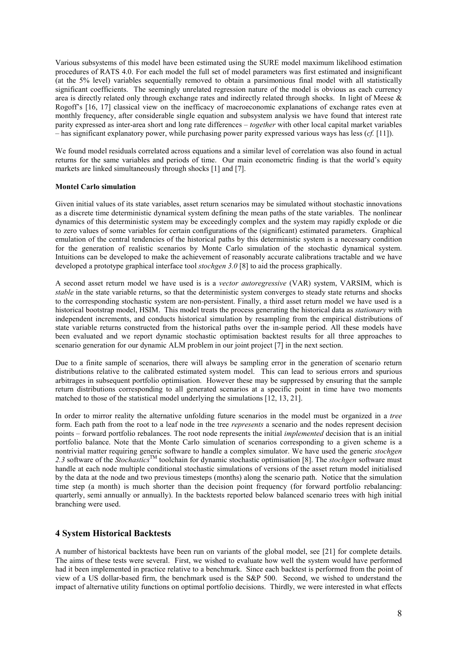Various subsystems of this model have been estimated using the SURE model maximum likelihood estimation procedures of RATS 4.0. For each model the full set of model parameters was first estimated and insignificant (at the 5% level) variables sequentially removed to obtain a parsimonious final model with all statistically significant coefficients. The seemingly unrelated regression nature of the model is obvious as each currency area is directly related only through exchange rates and indirectly related through shocks. In light of Meese & Rogoff's [16, 17] classical view on the inefficacy of macroeconomic explanations of exchange rates even at monthly frequency, after considerable single equation and subsystem analysis we have found that interest rate parity expressed as inter-area short and long rate differences – *together* with other local capital market variables – has significant explanatory power, while purchasing power parity expressed various ways has less (*cf.* [11]).

We found model residuals correlated across equations and a similar level of correlation was also found in actual returns for the same variables and periods of time. Our main econometric finding is that the world's equity markets are linked simultaneously through shocks [1] and [7].

#### **Montel Carlo simulation**

Given initial values of its state variables, asset return scenarios may be simulated without stochastic innovations as a discrete time deterministic dynamical system defining the mean paths of the state variables. The nonlinear dynamics of this deterministic system may be exceedingly complex and the system may rapidly explode or die to zero values of some variables for certain configurations of the (significant) estimated parameters. Graphical emulation of the central tendencies of the historical paths by this deterministic system is a necessary condition for the generation of realistic scenarios by Monte Carlo simulation of the stochastic dynamical system. Intuitions can be developed to make the achievement of reasonably accurate calibrations tractable and we have developed a prototype graphical interface tool *stochgen 3.0* [8] to aid the process graphically.

A second asset return model we have used is is a *vector autoregressive* (VAR) system, VARSIM, which is *stable* in the state variable returns, so that the deterministic system converges to steady state returns and shocks to the corresponding stochastic system are non-persistent. Finally, a third asset return model we have used is a historical bootstrap model, HSIM. This model treats the process generating the historical data as *stationary* with independent increments, and conducts historical simulation by resampling from the empirical distributions of state variable returns constructed from the historical paths over the in-sample period. All these models have been evaluated and we report dynamic stochastic optimisation backtest results for all three approaches to scenario generation for our dynamic ALM problem in our joint project [7] in the next section.

Due to a finite sample of scenarios, there will always be sampling error in the generation of scenario return distributions relative to the calibrated estimated system model. This can lead to serious errors and spurious arbitrages in subsequent portfolio optimisation. However these may be suppressed by ensuring that the sample return distributions corresponding to all generated scenarios at a specific point in time have two moments matched to those of the statistical model underlying the simulations [12, 13, 21].

In order to mirror reality the alternative unfolding future scenarios in the model must be organized in a *tree* form. Each path from the root to a leaf node in the tree *represents* a scenario and the nodes represent decision points – forward portfolio rebalances. The root node represents the initial *implemented* decision that is an initial portfolio balance. Note that the Monte Carlo simulation of scenarios corresponding to a given scheme is a nontrivial matter requiring generic software to handle a complex simulator. We have used the generic *stochgen 2.3* software of the *Stochastics*TM toolchain for dynamic stochastic optimisation [8]. The *stochgen* software must handle at each node multiple conditional stochastic simulations of versions of the asset return model initialised by the data at the node and two previous timesteps (months) along the scenario path. Notice that the simulation time step (a month) is much shorter than the decision point frequency (for forward portfolio rebalancing: quarterly, semi annually or annually). In the backtests reported below balanced scenario trees with high initial branching were used.

#### **4 System Historical Backtests**

A number of historical backtests have been run on variants of the global model, see [21] for complete details. The aims of these tests were several. First, we wished to evaluate how well the system would have performed had it been implemented in practice relative to a benchmark. Since each backtest is performed from the point of view of a US dollar-based firm, the benchmark used is the S&P 500. Second, we wished to understand the impact of alternative utility functions on optimal portfolio decisions. Thirdly, we were interested in what effects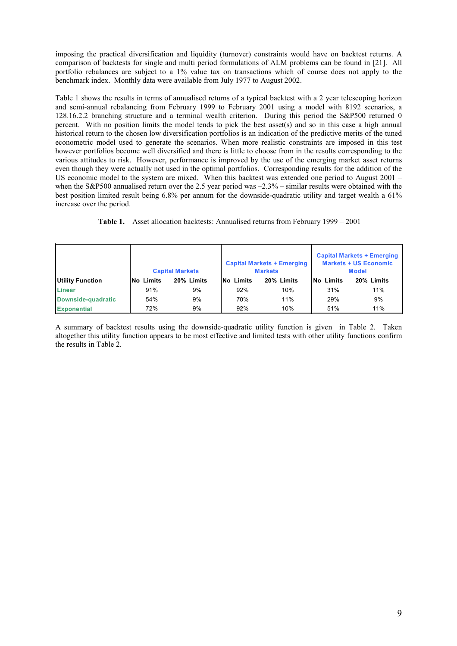imposing the practical diversification and liquidity (turnover) constraints would have on backtest returns. A comparison of backtests for single and multi period formulations of ALM problems can be found in [21]. All portfolio rebalances are subject to a 1% value tax on transactions which of course does not apply to the benchmark index. Monthly data were available from July 1977 to August 2002.

Table 1 shows the results in terms of annualised returns of a typical backtest with a 2 year telescoping horizon and semi-annual rebalancing from February 1999 to February 2001 using a model with 8192 scenarios, a 128.16.2.2 branching structure and a terminal wealth criterion. During this period the S&P500 returned 0 percent. With no position limits the model tends to pick the best asset(s) and so in this case a high annual historical return to the chosen low diversification portfolios is an indication of the predictive merits of the tuned econometric model used to generate the scenarios. When more realistic constraints are imposed in this test however portfolios become well diversified and there is little to choose from in the results corresponding to the various attitudes to risk. However, performance is improved by the use of the emerging market asset returns even though they were actually not used in the optimal portfolios. Corresponding results for the addition of the US economic model to the system are mixed. When this backtest was extended one period to August 2001 – when the S&P500 annualised return over the 2.5 year period was  $-2.3%$  – similar results were obtained with the best position limited result being 6.8% per annum for the downside-quadratic utility and target wealth a 61% increase over the period.

| <b>Table 1.</b> Asset allocation backtests: Annualised returns from February 1999 – 2001 |  |  |  |  |
|------------------------------------------------------------------------------------------|--|--|--|--|
|------------------------------------------------------------------------------------------|--|--|--|--|

|                         |           | <b>Capital Markets</b> |           | <b>Capital Markets + Emerging</b><br><b>Markets</b> | <b>Capital Markets + Emerging</b><br><b>Markets + US Economic</b><br><b>Model</b> |            |  |
|-------------------------|-----------|------------------------|-----------|-----------------------------------------------------|-----------------------------------------------------------------------------------|------------|--|
| <b>Utility Function</b> | No Limits | 20% Limits             | No Limits | 20% Limits                                          | <b>No Limits</b>                                                                  | 20% Limits |  |
| <b>Linear</b>           | 91%       | 9%                     | 92%       | 10%                                                 | 31%                                                                               | 11%        |  |
| Downside-quadratic      | 54%       | 9%                     | 70%       | 11%                                                 | 29%                                                                               | 9%         |  |
| <b>Exponential</b>      | 72%       | 9%                     | 92%       | 10%                                                 | 51%                                                                               | 11%        |  |

A summary of backtest results using the downside-quadratic utility function is given in Table 2. Taken altogether this utility function appears to be most effective and limited tests with other utility functions confirm the results in Table 2.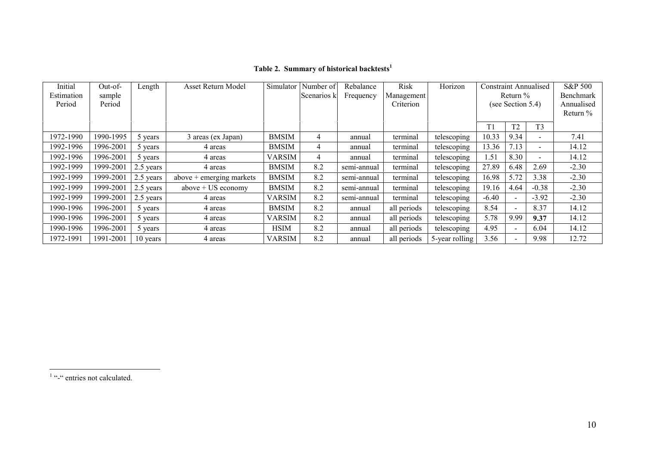|  |  | Table 2. Summary of historical backtests <sup>1</sup> |  |
|--|--|-------------------------------------------------------|--|
|--|--|-------------------------------------------------------|--|

<span id="page-11-0"></span>

| Initial    | $Out-of-$ | Length    | Asset Return Model         | Simulator     | Number of   | Rebalance   | Risk        | Horizon        | <b>Constraint Annualised</b> |                          | <b>S&amp;P 500</b>       |            |
|------------|-----------|-----------|----------------------------|---------------|-------------|-------------|-------------|----------------|------------------------------|--------------------------|--------------------------|------------|
| Estimation | sample    |           |                            |               | Scenarios k | Frequency   | Management  |                | Return $\%$                  |                          | Benchmark                |            |
| Period     | Period    |           |                            |               |             |             | Criterion   |                | (see Section 5.4)            |                          |                          | Annualised |
|            |           |           |                            |               |             |             |             |                |                              |                          |                          | Return $%$ |
|            |           |           |                            |               |             |             |             |                | T <sub>1</sub>               | T <sub>2</sub>           | T <sub>3</sub>           |            |
| 1972-1990  | 1990-1995 | 5 years   | 3 areas (ex Japan)         | <b>BMSIM</b>  | 4           | annual      | terminal    | telescoping    | 10.33                        | 9.34                     | $\overline{\phantom{a}}$ | 7.41       |
| 1992-1996  | 1996-2001 | 5 years   | 4 areas                    | <b>BMSIM</b>  | 4           | annual      | terminal    | telescoping    | 13.36                        | 7.13                     | $\overline{\phantom{0}}$ | 14.12      |
| 1992-1996  | 1996-2001 | 5 years   | 4 areas                    | <b>VARSIM</b> | 4           | annual      | terminal    | telescoping    | 1.51                         | 8.30                     | $\overline{\phantom{0}}$ | 14.12      |
| 1992-1999  | 1999-2001 | 2.5 years | 4 areas                    | <b>BMSIM</b>  | 8.2         | semi-annual | terminal    | telescoping    | 27.89                        | 6.48                     | 2.69                     | $-2.30$    |
| 1992-1999  | 1999-2001 | 2.5 years | $above + emerging$ markets | <b>BMSIM</b>  | 8.2         | semi-annual | terminal    | telescoping    | 16.98                        | 5.72                     | 3.38                     | $-2.30$    |
| 1992-1999  | 1999-2001 | 2.5 years | $above + US economy$       | <b>BMSIM</b>  | 8.2         | semi-annual | terminal    | telescoping    | 19.16                        | 4.64                     | $-0.38$                  | $-2.30$    |
| 1992-1999  | 1999-2001 | 2.5 years | 4 areas                    | <b>VARSIM</b> | 8.2         | semi-annual | terminal    | telescoping    | $-6.40$                      | $\sim$                   | $-3.92$                  | $-2.30$    |
| 1990-1996  | 1996-2001 | 5 years   | 4 areas                    | <b>BMSIM</b>  | 8.2         | annual      | all periods | telescoping    | 8.54                         | $\overline{\phantom{a}}$ | 8.37                     | 14.12      |
| 1990-1996  | 1996-2001 | 5 years   | 4 areas                    | <b>VARSIM</b> | 8.2         | annual      | all periods | telescoping    | 5.78                         | 9.99                     | 9.37                     | 14.12      |
| 1990-1996  | 1996-2001 | 5 years   | 4 areas                    | <b>HSIM</b>   | 8.2         | annual      | all periods | telescoping    | 4.95                         | $\sim$                   | 6.04                     | 14.12      |
| 1972-1991  | 1991-2001 | 10 years  | 4 areas                    | <b>VARSIM</b> | 8.2         | annual      | all periods | 5-year rolling | 3.56                         |                          | 9.98                     | 12.72      |

 $1 \cdots$ " entries not calculated.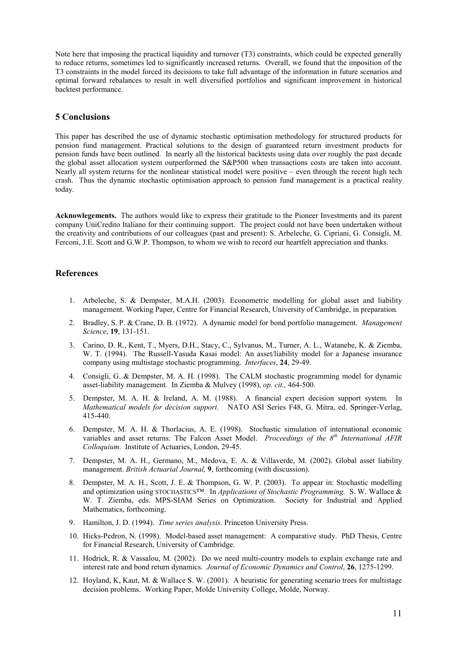Note here that imposing the practical liquidity and turnover (T3) constraints, which could be expected generally to reduce returns, sometimes led to significantly increased returns. Overall, we found that the imposition of the T3 constraints in the model forced its decisions to take full advantage of the information in future scenarios and optimal forward rebalances to result in well diversified portfolios and significant improvement in historical backtest performance.

#### **5 Conclusions**

This paper has described the use of dynamic stochastic optimisation methodology for structured products for pension fund management. Practical solutions to the design of guaranteed return investment products for pension funds have been outlined. In nearly all the historical backtests using data over roughly the past decade the global asset allocation system outperformed the S&P500 when transactions costs are taken into account. Nearly all system returns for the nonlinear statistical model were positive – even through the recent high tech crash. Thus the dynamic stochastic optimisation approach to pension fund management is a practical reality today.

**Acknowlegements.** The authors would like to express their gratitude to the Pioneer Investments and its parent company UniCredito Italiano for their continuing support. The project could not have been undertaken without the creativity and contributions of our colleagues (past and present): S. Arbeleche, G. Cipriani, G. Consigli, M. Ferconi, J.E. Scott and G.W.P. Thompson, to whom we wish to record our heartfelt appreciation and thanks.

#### **References**

- 1. Arbeleche, S. & Dempster, M.A.H. (2003). Econometric modelling for global asset and liability management. Working Paper, Centre for Financial Research, University of Cambridge, in preparation*.*
- 2. Bradley, S. P. & Crane, D. B. (1972). A dynamic model for bond portfolio management. *Management Science*, **19**, 131-151.
- 3. Carino, D. R., Kent, T., Myers, D.H., Stacy, C., Sylvanus, M., Turner, A. L., Watanebe, K. & Ziemba, W. T. (1994). The Russell-Yasuda Kasai model: An asset/liability model for a Japanese insurance company using multistage stochastic programming. *Interfaces*, **24**, 29-49.
- 4. Consigli, G. & Dempster, M. A. H. (1998). The CALM stochastic programming model for dynamic asset-liability management. In Ziemba & Mulvey (1998), *op. cit.,* 464-500.
- 5. Dempster, M. A. H. & Ireland, A. M. (1988). A financial expert decision support system. In *Mathematical models for decision support*. NATO ASI Series F48, G. Mitra, ed. Springer-Verlag, 415-440.
- 6. Dempster, M. A. H. & Thorlacius, A. E. (1998). Stochastic simulation of international economic variables and asset returns: The Falcon Asset Model. *Proceedings of the 8th International AFIR Colloquium*. Institute of Actuaries, London, 29-45.
- 7. Dempster, M. A. H., Germano, M., Medova, E. A. & Villaverde, M. (2002). Global asset liability management. *British Actuarial Journal,* **9**, forthcoming (with discussion).
- 8. Dempster, M. A. H., Scott, J. E. & Thompson, G. W. P. (2003). To appear in: Stochastic modelling and optimization using STOCHASTICS™. In *Applications of Stochastic Programming.* S. W. Wallace & W. T. Ziemba, eds. MPS-SIAM Series on Optimization. Society for Industrial and Applied Mathematics, forthcoming.
- 9. Hamilton, J. D. (1994). *Time series analysis*. Princeton University Press.
- 10. Hicks-Pedron, N. (1998). Model-based asset management: A comparative study. PhD Thesis, Centre for Financial Research, University of Cambridge.
- 11. Hodrick, R. & Vassalou, M. (2002). Do we need multi-country models to explain exchange rate and interest rate and bond return dynamics. *Journal of Economic Dynamics and Control*, **26**, 1275-1299.
- 12. Hoyland, K, Kaut, M. & Wallace S. W. (2001). A heuristic for generating scenario trees for multistage decision problems. Working Paper, Molde University College, Molde, Norway.